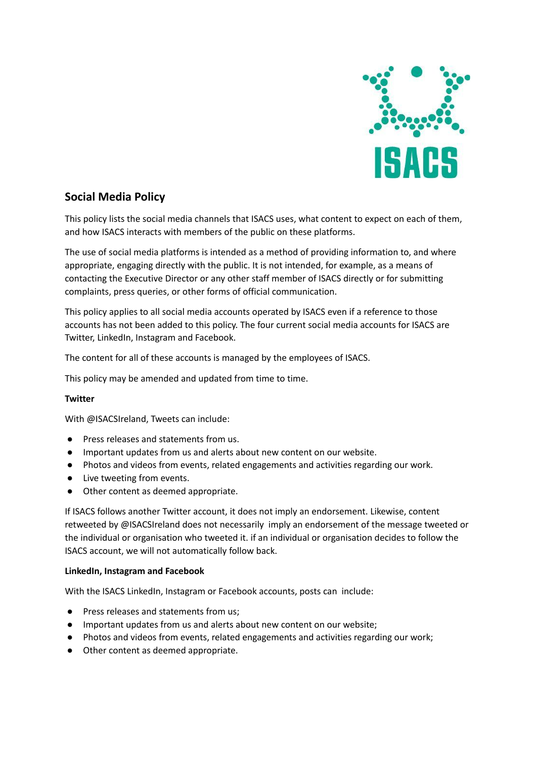

## **Social Media Policy**

This policy lists the social media channels that ISACS uses, what content to expect on each of them, and how ISACS interacts with members of the public on these platforms.

The use of social media platforms is intended as a method of providing information to, and where appropriate, engaging directly with the public. It is not intended, for example, as a means of contacting the Executive Director or any other staff member of ISACS directly or for submitting complaints, press queries, or other forms of official communication.

This policy applies to all social media accounts operated by ISACS even if a reference to those accounts has not been added to this policy. The four current social media accounts for ISACS are Twitter, LinkedIn, Instagram and Facebook.

The content for all of these accounts is managed by the employees of ISACS.

This policy may be amended and updated from time to time.

## **Twitter**

With @ISACSIreland, Tweets can include:

- Press releases and statements from us.
- Important updates from us and alerts about new content on our website.
- Photos and videos from events, related engagements and activities regarding our work.
- Live tweeting from events.
- Other content as deemed appropriate.

If ISACS follows another Twitter account, it does not imply an endorsement. Likewise, content retweeted by @ISACSIreland does not necessarily imply an endorsement of the message tweeted or the individual or organisation who tweeted it. if an individual or organisation decides to follow the ISACS account, we will not automatically follow back.

## **LinkedIn, Instagram and Facebook**

With the ISACS LinkedIn, Instagram or Facebook accounts, posts can include:

- Press releases and statements from us;
- Important updates from us and alerts about new content on our website;
- Photos and videos from events, related engagements and activities regarding our work;
- Other content as deemed appropriate.